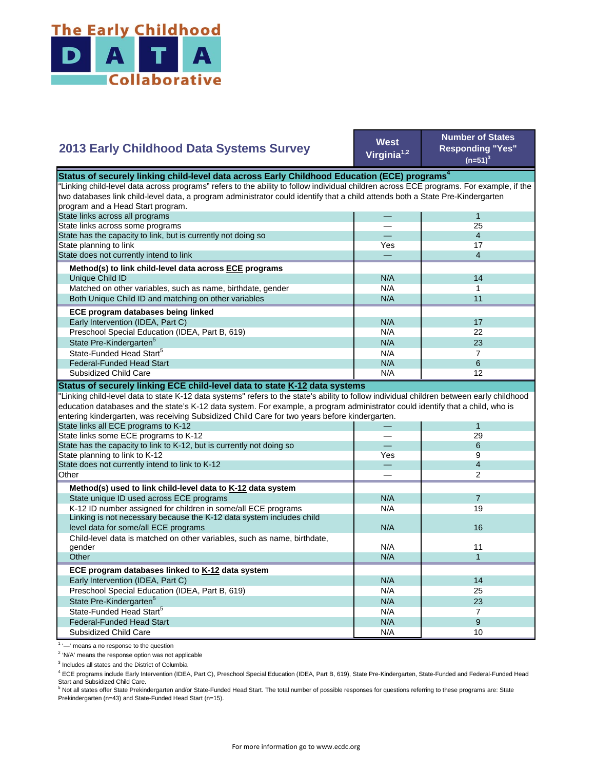

## **2013 Early Childhood Data Systems Survey**

**West Virginia1,2**

**Number of States Responding "Yes"**   $(n=51)^3$ 

| Status of securely linking child-level data across Early Childhood Education (ECE) programs <sup>4</sup>                                  |     |                          |  |
|-------------------------------------------------------------------------------------------------------------------------------------------|-----|--------------------------|--|
| "Linking child-level data across programs" refers to the ability to follow individual children across ECE programs. For example, if the   |     |                          |  |
| two databases link child-level data, a program administrator could identify that a child attends both a State Pre-Kindergarten            |     |                          |  |
| program and a Head Start program.                                                                                                         |     |                          |  |
| State links across all programs                                                                                                           |     | $\mathbf{1}$             |  |
| State links across some programs                                                                                                          |     | 25                       |  |
| State has the capacity to link, but is currently not doing so                                                                             |     | $\overline{4}$           |  |
| State planning to link                                                                                                                    | Yes | 17                       |  |
| State does not currently intend to link                                                                                                   |     | 4                        |  |
| Method(s) to link child-level data across ECE programs                                                                                    |     |                          |  |
| Unique Child ID                                                                                                                           | N/A | 14                       |  |
| Matched on other variables, such as name, birthdate, gender                                                                               | N/A | 1                        |  |
| Both Unique Child ID and matching on other variables                                                                                      | N/A | 11                       |  |
| ECE program databases being linked                                                                                                        |     |                          |  |
| Early Intervention (IDEA, Part C)                                                                                                         | N/A | 17                       |  |
| Preschool Special Education (IDEA, Part B, 619)                                                                                           | N/A | 22                       |  |
| State Pre-Kindergarten <sup>5</sup>                                                                                                       | N/A | 23                       |  |
| State-Funded Head Start <sup>5</sup>                                                                                                      | N/A | $\overline{7}$           |  |
| <b>Federal-Funded Head Start</b>                                                                                                          | N/A | 6                        |  |
| Subsidized Child Care                                                                                                                     | N/A | 12                       |  |
| Status of securely linking ECE child-level data to state K-12 data systems                                                                |     |                          |  |
| 'Linking child-level data to state K-12 data systems" refers to the state's ability to follow individual children between early childhood |     |                          |  |
| education databases and the state's K-12 data system. For example, a program administrator could identify that a child, who is            |     |                          |  |
| entering kindergarten, was receiving Subsidized Child Care for two years before kindergarten.                                             |     |                          |  |
| State links all ECE programs to K-12                                                                                                      |     | $\mathbf{1}$             |  |
| State links some ECE programs to K-12                                                                                                     |     | 29                       |  |
| State has the capacity to link to K-12, but is currently not doing so                                                                     |     | 6                        |  |
| State planning to link to K-12                                                                                                            | Yes | 9                        |  |
| State does not currently intend to link to K-12                                                                                           |     | $\overline{\mathcal{L}}$ |  |
| Other                                                                                                                                     |     | $\mathfrak{p}$           |  |
| Method(s) used to link child-level data to K-12 data system                                                                               |     |                          |  |
| State unique ID used across ECE programs                                                                                                  | N/A | $\overline{7}$           |  |
| K-12 ID number assigned for children in some/all ECE programs                                                                             | N/A | 19                       |  |
| Linking is not necessary because the K-12 data system includes child                                                                      |     |                          |  |
| level data for some/all ECE programs                                                                                                      | N/A | 16                       |  |
| Child-level data is matched on other variables, such as name, birthdate,                                                                  |     |                          |  |
| gender                                                                                                                                    | N/A | 11                       |  |
| Other                                                                                                                                     | N/A | $\mathbf{1}$             |  |
| ECE program databases linked to K-12 data system                                                                                          |     |                          |  |
| Early Intervention (IDEA, Part C)                                                                                                         | N/A | 14                       |  |
| Preschool Special Education (IDEA, Part B, 619)                                                                                           | N/A | 25                       |  |
| State Pre-Kindergarten <sup>5</sup>                                                                                                       | N/A | 23                       |  |
| State-Funded Head Start <sup>5</sup>                                                                                                      | N/A | $\overline{7}$           |  |
| <b>Federal-Funded Head Start</b>                                                                                                          | N/A | 9                        |  |
| Subsidized Child Care                                                                                                                     | N/A | 10                       |  |

<sup>1</sup> '-' means a no response to the question

<sup>2</sup> 'N/A' means the response option was not applicable

<sup>3</sup> Includes all states and the District of Columbia

<sup>4</sup> ECE programs include Early Intervention (IDEA, Part C), Preschool Special Education (IDEA, Part B, 619), State Pre-Kindergarten, State-Funded and Federal-Funded Head

Start and Subsidized Child Care.<br><sup>5</sup> Not all states offer State Prekindergarten and/or State-Funded Head Start. The total number of possible responses for questions referring to these programs are: State Prekindergarten (n=43) and State-Funded Head Start (n=15).